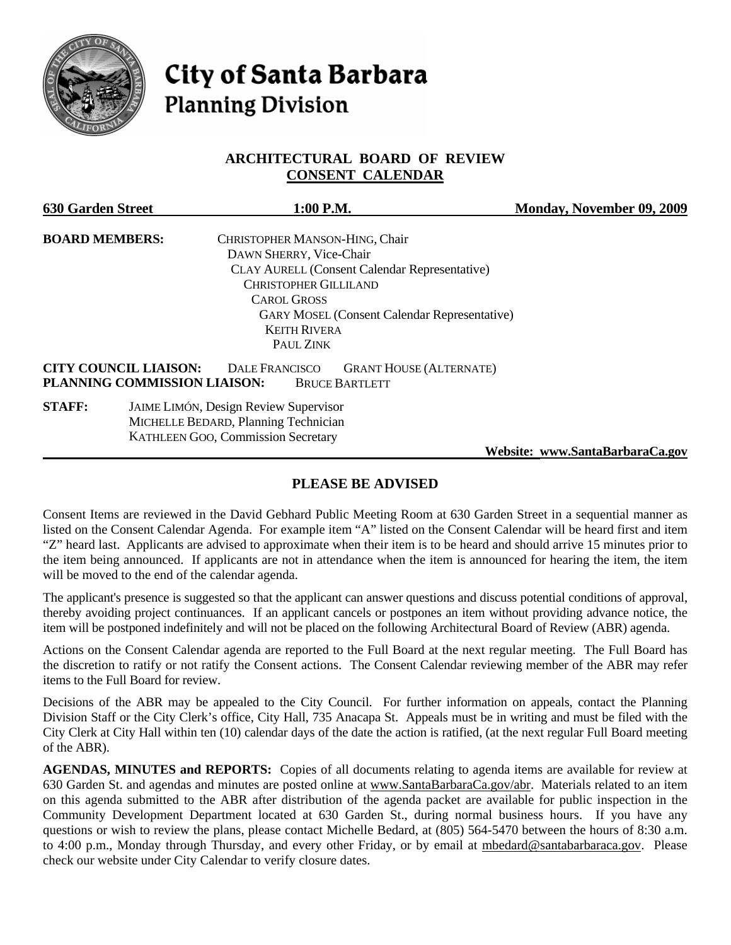

# **City of Santa Barbara Planning Division**

## **ARCHITECTURAL BOARD OF REVIEW CONSENT CALENDAR**

| <b>630 Garden Street</b>                                     | 1:00 P.M.                                                                        | Monday, November 09, 2009       |
|--------------------------------------------------------------|----------------------------------------------------------------------------------|---------------------------------|
| <b>BOARD MEMBERS:</b>                                        | CHRISTOPHER MANSON-HING, Chair                                                   |                                 |
|                                                              | DAWN SHERRY, Vice-Chair                                                          |                                 |
|                                                              | CLAY AURELL (Consent Calendar Representative)                                    |                                 |
|                                                              | <b>CHRISTOPHER GILLILAND</b>                                                     |                                 |
|                                                              | <b>CAROL GROSS</b>                                                               |                                 |
|                                                              | <b>GARY MOSEL (Consent Calendar Representative)</b>                              |                                 |
|                                                              | <b>KEITH RIVERA</b>                                                              |                                 |
|                                                              | PAUL ZINK                                                                        |                                 |
| <b>CITY COUNCIL LIAISON:</b><br>PLANNING COMMISSION LIAISON: | <b>DALE FRANCISCO</b><br><b>GRANT HOUSE (ALTERNATE)</b><br><b>BRUCE BARTLETT</b> |                                 |
| <b>STAFF:</b>                                                | <b>JAIME LIMÓN, Design Review Supervisor</b>                                     |                                 |
|                                                              | MICHELLE BEDARD, Planning Technician                                             |                                 |
|                                                              | <b>KATHLEEN GOO, Commission Secretary</b>                                        |                                 |
|                                                              |                                                                                  | Website: www.SantaBarbaraCa.gov |

## **PLEASE BE ADVISED**

Consent Items are reviewed in the David Gebhard Public Meeting Room at 630 Garden Street in a sequential manner as listed on the Consent Calendar Agenda. For example item "A" listed on the Consent Calendar will be heard first and item "Z" heard last. Applicants are advised to approximate when their item is to be heard and should arrive 15 minutes prior to the item being announced. If applicants are not in attendance when the item is announced for hearing the item, the item will be moved to the end of the calendar agenda.

The applicant's presence is suggested so that the applicant can answer questions and discuss potential conditions of approval, thereby avoiding project continuances. If an applicant cancels or postpones an item without providing advance notice, the item will be postponed indefinitely and will not be placed on the following Architectural Board of Review (ABR) agenda.

Actions on the Consent Calendar agenda are reported to the Full Board at the next regular meeting. The Full Board has the discretion to ratify or not ratify the Consent actions. The Consent Calendar reviewing member of the ABR may refer items to the Full Board for review.

Decisions of the ABR may be appealed to the City Council. For further information on appeals, contact the Planning Division Staff or the City Clerk's office, City Hall, 735 Anacapa St. Appeals must be in writing and must be filed with the City Clerk at City Hall within ten (10) calendar days of the date the action is ratified, (at the next regular Full Board meeting of the ABR).

**AGENDAS, MINUTES and REPORTS:** Copies of all documents relating to agenda items are available for review at 630 Garden St. and agendas and minutes are posted online at [www.SantaBarbaraCa.gov/abr.](http://www.santabarbaraca.gov/abr) Materials related to an item on this agenda submitted to the ABR after distribution of the agenda packet are available for public inspection in the Community Development Department located at 630 Garden St., during normal business hours. If you have any questions or wish to review the plans, please contact Michelle Bedard, at (805) 564-5470 between the hours of 8:30 a.m. to 4:00 p.m., Monday through Thursday, and every other Friday, or by email at [mbedard@santabarbaraca.gov](mailto:mbedard@santabarbaraca.gov). Please check our website under City Calendar to verify closure dates.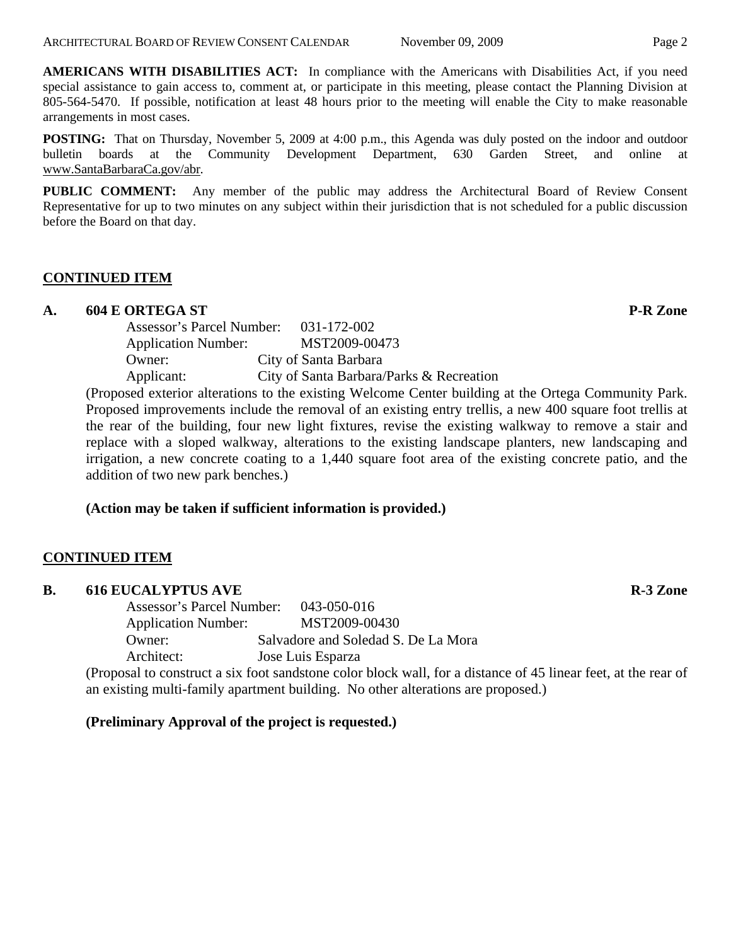**AMERICANS WITH DISABILITIES ACT:** In compliance with the Americans with Disabilities Act, if you need special assistance to gain access to, comment at, or participate in this meeting, please contact the Planning Division at 805-564-5470. If possible, notification at least 48 hours prior to the meeting will enable the City to make reasonable arrangements in most cases.

**POSTING:** That on Thursday, November 5, 2009 at 4:00 p.m., this Agenda was duly posted on the indoor and outdoor bulletin boards at the Community Development Department, 630 Garden Street, and online at [www.SantaBarbaraCa.gov/abr.](http://www.santabarbaraca.gov/abr)

**PUBLIC COMMENT:** Any member of the public may address the Architectural Board of Review Consent Representative for up to two minutes on any subject within their jurisdiction that is not scheduled for a public discussion before the Board on that day.

## **CONTINUED ITEM**

## A. 604 E ORTEGA ST **P-R** Zone

| Assessor's Parcel Number:<br>031-172-002    |
|---------------------------------------------|
| MST2009-00473<br><b>Application Number:</b> |
| City of Santa Barbara                       |
| City of Santa Barbara/Parks & Recreation    |
|                                             |

(Proposed exterior alterations to the existing Welcome Center building at the Ortega Community Park. Proposed improvements include the removal of an existing entry trellis, a new 400 square foot trellis at the rear of the building, four new light fixtures, revise the existing walkway to remove a stair and replace with a sloped walkway, alterations to the existing landscape planters, new landscaping and irrigation, a new concrete coating to a 1,440 square foot area of the existing concrete patio, and the addition of two new park benches.)

## **(Action may be taken if sufficient information is provided.)**

## **CONTINUED ITEM**

#### **B.** 616 EUCALYPTUS AVE **R-3 Zone**

Assessor's Parcel Number: 043-050-016 Application Number: MST2009-00430 Owner: Salvadore and Soledad S. De La Mora Architect: Jose Luis Esparza

(Proposal to construct a six foot sandstone color block wall, for a distance of 45 linear feet, at the rear of an existing multi-family apartment building. No other alterations are proposed.)

#### **(Preliminary Approval of the project is requested.)**